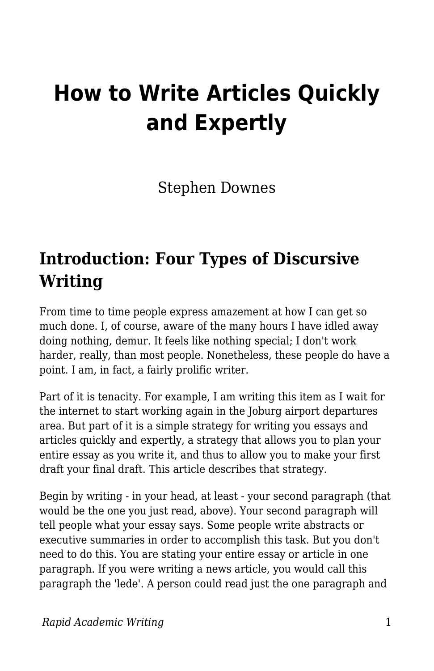# **How to Write Articles Quickly and Expertly**

Stephen Downes

#### **Introduction: Four Types of Discursive Writing**

From time to time people express amazement at how I can get so much done. I, of course, aware of the many hours I have idled away doing nothing, demur. It feels like nothing special; I don't work harder, really, than most people. Nonetheless, these people do have a point. I am, in fact, a fairly prolific writer.

Part of it is tenacity. For example, I am writing this item as I wait for the internet to start working again in the Joburg airport departures area. But part of it is a simple strategy for writing you essays and articles quickly and expertly, a strategy that allows you to plan your entire essay as you write it, and thus to allow you to make your first draft your final draft. This article describes that strategy.

Begin by writing - in your head, at least - your second paragraph (that would be the one you just read, above). Your second paragraph will tell people what your essay says. Some people write abstracts or executive summaries in order to accomplish this task. But you don't need to do this. You are stating your entire essay or article in one paragraph. If you were writing a news article, you would call this paragraph the 'lede'. A person could read just the one paragraph and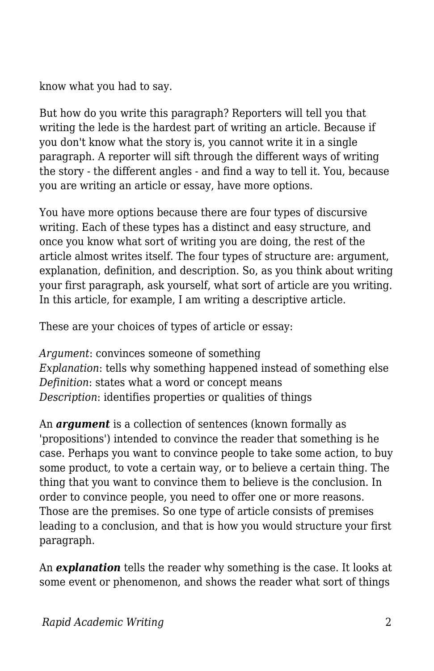know what you had to say.

But how do you write this paragraph? Reporters will tell you that writing the lede is the hardest part of writing an article. Because if you don't know what the story is, you cannot write it in a single paragraph. A reporter will sift through the different ways of writing the story - the different angles - and find a way to tell it. You, because you are writing an article or essay, have more options.

You have more options because there are four types of discursive writing. Each of these types has a distinct and easy structure, and once you know what sort of writing you are doing, the rest of the article almost writes itself. The four types of structure are: argument, explanation, definition, and description. So, as you think about writing your first paragraph, ask yourself, what sort of article are you writing. In this article, for example, I am writing a descriptive article.

These are your choices of types of article or essay:

*Argument*: convinces someone of something *Explanation*: tells why something happened instead of something else *Definition*: states what a word or concept means *Description*: identifies properties or qualities of things

An *argument* is a collection of sentences (known formally as 'propositions') intended to convince the reader that something is he case. Perhaps you want to convince people to take some action, to buy some product, to vote a certain way, or to believe a certain thing. The thing that you want to convince them to believe is the conclusion. In order to convince people, you need to offer one or more reasons. Those are the premises. So one type of article consists of premises leading to a conclusion, and that is how you would structure your first paragraph.

An *explanation* tells the reader why something is the case. It looks at some event or phenomenon, and shows the reader what sort of things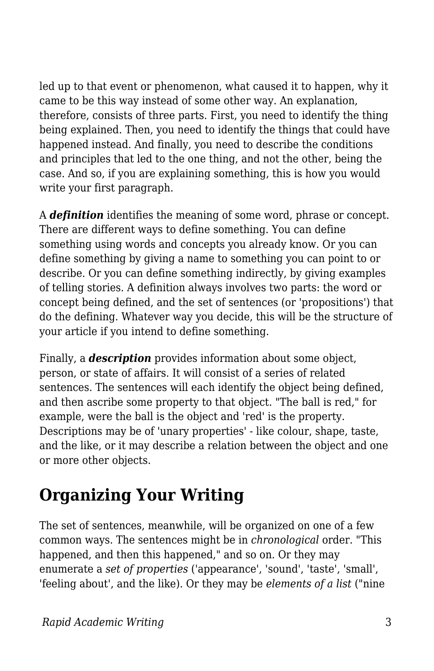led up to that event or phenomenon, what caused it to happen, why it came to be this way instead of some other way. An explanation, therefore, consists of three parts. First, you need to identify the thing being explained. Then, you need to identify the things that could have happened instead. And finally, you need to describe the conditions and principles that led to the one thing, and not the other, being the case. And so, if you are explaining something, this is how you would write your first paragraph.

A *definition* identifies the meaning of some word, phrase or concept. There are different ways to define something. You can define something using words and concepts you already know. Or you can define something by giving a name to something you can point to or describe. Or you can define something indirectly, by giving examples of telling stories. A definition always involves two parts: the word or concept being defined, and the set of sentences (or 'propositions') that do the defining. Whatever way you decide, this will be the structure of your article if you intend to define something.

Finally, a *description* provides information about some object, person, or state of affairs. It will consist of a series of related sentences. The sentences will each identify the object being defined, and then ascribe some property to that object. "The ball is red," for example, were the ball is the object and 'red' is the property. Descriptions may be of 'unary properties' - like colour, shape, taste, and the like, or it may describe a relation between the object and one or more other objects.

## **Organizing Your Writing**

The set of sentences, meanwhile, will be organized on one of a few common ways. The sentences might be in *chronological* order. "This happened, and then this happened," and so on. Or they may enumerate a *set of properties* ('appearance', 'sound', 'taste', 'small', 'feeling about', and the like). Or they may be *elements of a list* ("nine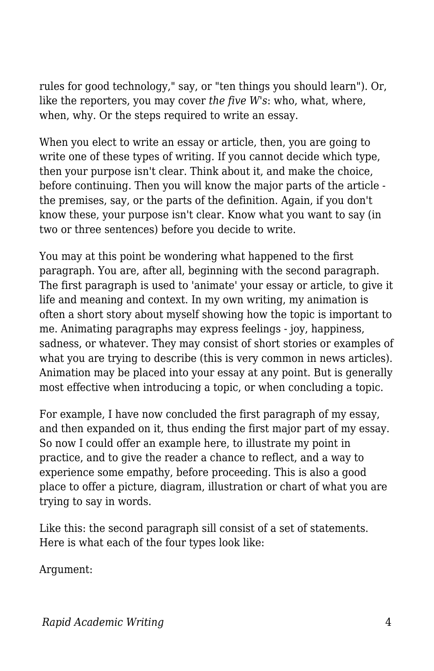rules for good technology," say, or "ten things you should learn"). Or, like the reporters, you may cover *the five W's*: who, what, where, when, why. Or the steps required to write an essay.

When you elect to write an essay or article, then, you are going to write one of these types of writing. If you cannot decide which type, then your purpose isn't clear. Think about it, and make the choice, before continuing. Then you will know the major parts of the article the premises, say, or the parts of the definition. Again, if you don't know these, your purpose isn't clear. Know what you want to say (in two or three sentences) before you decide to write.

You may at this point be wondering what happened to the first paragraph. You are, after all, beginning with the second paragraph. The first paragraph is used to 'animate' your essay or article, to give it life and meaning and context. In my own writing, my animation is often a short story about myself showing how the topic is important to me. Animating paragraphs may express feelings - joy, happiness, sadness, or whatever. They may consist of short stories or examples of what you are trying to describe (this is very common in news articles). Animation may be placed into your essay at any point. But is generally most effective when introducing a topic, or when concluding a topic.

For example, I have now concluded the first paragraph of my essay, and then expanded on it, thus ending the first major part of my essay. So now I could offer an example here, to illustrate my point in practice, and to give the reader a chance to reflect, and a way to experience some empathy, before proceeding. This is also a good place to offer a picture, diagram, illustration or chart of what you are trying to say in words.

Like this: the second paragraph sill consist of a set of statements. Here is what each of the four types look like:

Argument: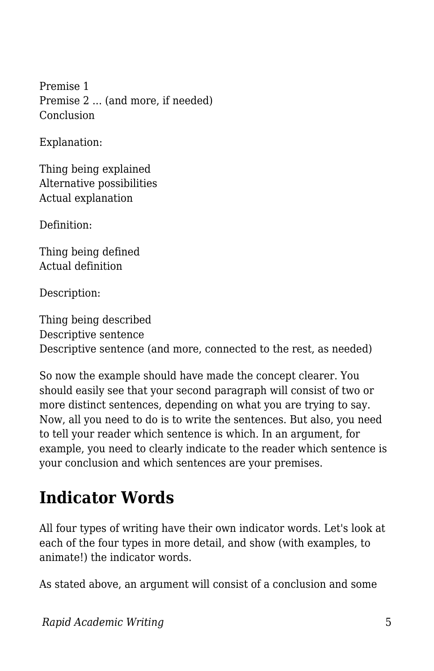Premise 1 Premise 2 ... (and more, if needed) Conclusion

Explanation:

Thing being explained Alternative possibilities Actual explanation

Definition:

Thing being defined Actual definition

Description:

Thing being described Descriptive sentence Descriptive sentence (and more, connected to the rest, as needed)

So now the example should have made the concept clearer. You should easily see that your second paragraph will consist of two or more distinct sentences, depending on what you are trying to say. Now, all you need to do is to write the sentences. But also, you need to tell your reader which sentence is which. In an argument, for example, you need to clearly indicate to the reader which sentence is your conclusion and which sentences are your premises.

#### **Indicator Words**

All four types of writing have their own indicator words. Let's look at each of the four types in more detail, and show (with examples, to animate!) the indicator words.

As stated above, an argument will consist of a conclusion and some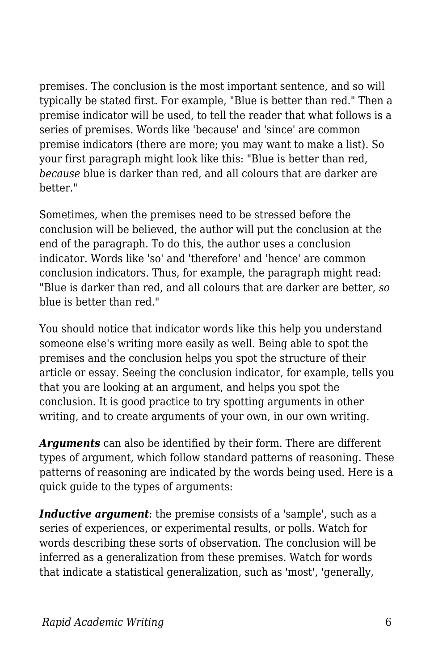premises. The conclusion is the most important sentence, and so will typically be stated first. For example, "Blue is better than red." Then a premise indicator will be used, to tell the reader that what follows is a series of premises. Words like 'because' and 'since' are common premise indicators (there are more; you may want to make a list). So your first paragraph might look like this: "Blue is better than red, *because* blue is darker than red, and all colours that are darker are better."

Sometimes, when the premises need to be stressed before the conclusion will be believed, the author will put the conclusion at the end of the paragraph. To do this, the author uses a conclusion indicator. Words like 'so' and 'therefore' and 'hence' are common conclusion indicators. Thus, for example, the paragraph might read: "Blue is darker than red, and all colours that are darker are better, *so* blue is better than red."

You should notice that indicator words like this help you understand someone else's writing more easily as well. Being able to spot the premises and the conclusion helps you spot the structure of their article or essay. Seeing the conclusion indicator, for example, tells you that you are looking at an argument, and helps you spot the conclusion. It is good practice to try spotting arguments in other writing, and to create arguments of your own, in our own writing.

*Arguments* can also be identified by their form. There are different types of argument, which follow standard patterns of reasoning. These patterns of reasoning are indicated by the words being used. Here is a quick guide to the types of arguments:

*Inductive argument*: the premise consists of a 'sample', such as a series of experiences, or experimental results, or polls. Watch for words describing these sorts of observation. The conclusion will be inferred as a generalization from these premises. Watch for words that indicate a statistical generalization, such as 'most', 'generally,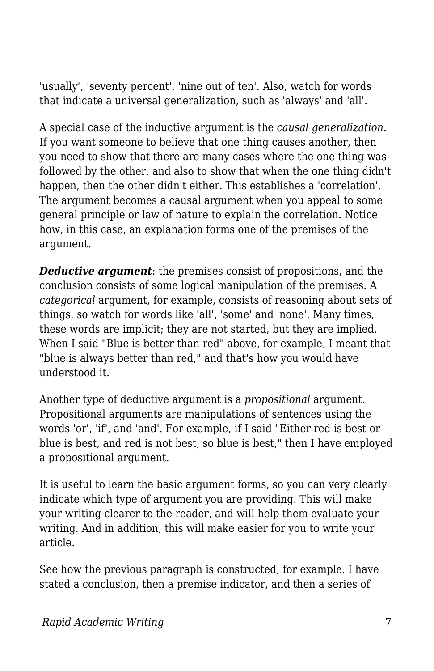'usually', 'seventy percent', 'nine out of ten'. Also, watch for words that indicate a universal generalization, such as 'always' and 'all'.

A special case of the inductive argument is the *causal generalization*. If you want someone to believe that one thing causes another, then you need to show that there are many cases where the one thing was followed by the other, and also to show that when the one thing didn't happen, then the other didn't either. This establishes a 'correlation'. The argument becomes a causal argument when you appeal to some general principle or law of nature to explain the correlation. Notice how, in this case, an explanation forms one of the premises of the argument.

*Deductive argument*: the premises consist of propositions, and the conclusion consists of some logical manipulation of the premises. A *categorical* argument, for example, consists of reasoning about sets of things, so watch for words like 'all', 'some' and 'none'. Many times, these words are implicit; they are not started, but they are implied. When I said "Blue is better than red" above, for example, I meant that "blue is always better than red," and that's how you would have understood it.

Another type of deductive argument is a *propositional* argument. Propositional arguments are manipulations of sentences using the words 'or', 'if', and 'and'. For example, if I said "Either red is best or blue is best, and red is not best, so blue is best," then I have employed a propositional argument.

It is useful to learn the basic argument forms, so you can very clearly indicate which type of argument you are providing. This will make your writing clearer to the reader, and will help them evaluate your writing. And in addition, this will make easier for you to write your article.

See how the previous paragraph is constructed, for example. I have stated a conclusion, then a premise indicator, and then a series of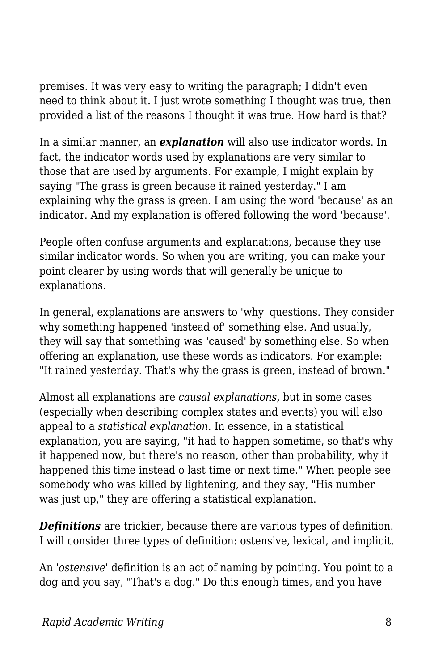premises. It was very easy to writing the paragraph; I didn't even need to think about it. I just wrote something I thought was true, then provided a list of the reasons I thought it was true. How hard is that?

In a similar manner, an *explanation* will also use indicator words. In fact, the indicator words used by explanations are very similar to those that are used by arguments. For example, I might explain by saying "The grass is green because it rained yesterday." I am explaining why the grass is green. I am using the word 'because' as an indicator. And my explanation is offered following the word 'because'.

People often confuse arguments and explanations, because they use similar indicator words. So when you are writing, you can make your point clearer by using words that will generally be unique to explanations.

In general, explanations are answers to 'why' questions. They consider why something happened 'instead of' something else. And usually, they will say that something was 'caused' by something else. So when offering an explanation, use these words as indicators. For example: "It rained yesterday. That's why the grass is green, instead of brown."

Almost all explanations are *causal explanations,* but in some cases (especially when describing complex states and events) you will also appeal to a *statistical explanation*. In essence, in a statistical explanation, you are saying, "it had to happen sometime, so that's why it happened now, but there's no reason, other than probability, why it happened this time instead o last time or next time." When people see somebody who was killed by lightening, and they say, "His number was just up," they are offering a statistical explanation.

*Definitions* are trickier, because there are various types of definition. I will consider three types of definition: ostensive, lexical, and implicit.

An '*ostensive*' definition is an act of naming by pointing. You point to a dog and you say, "That's a dog." Do this enough times, and you have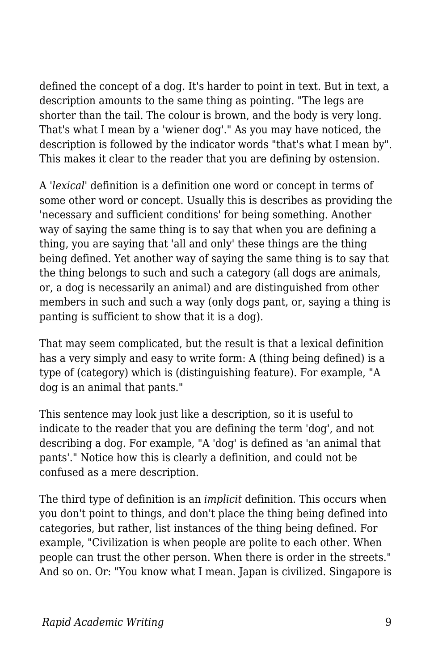defined the concept of a dog. It's harder to point in text. But in text, a description amounts to the same thing as pointing. "The legs are shorter than the tail. The colour is brown, and the body is very long. That's what I mean by a 'wiener dog'." As you may have noticed, the description is followed by the indicator words "that's what I mean by". This makes it clear to the reader that you are defining by ostension.

A '*lexical*' definition is a definition one word or concept in terms of some other word or concept. Usually this is describes as providing the 'necessary and sufficient conditions' for being something. Another way of saying the same thing is to say that when you are defining a thing, you are saying that 'all and only' these things are the thing being defined. Yet another way of saying the same thing is to say that the thing belongs to such and such a category (all dogs are animals, or, a dog is necessarily an animal) and are distinguished from other members in such and such a way (only dogs pant, or, saying a thing is panting is sufficient to show that it is a dog).

That may seem complicated, but the result is that a lexical definition has a very simply and easy to write form: A (thing being defined) is a type of (category) which is (distinguishing feature). For example, "A dog is an animal that pants."

This sentence may look just like a description, so it is useful to indicate to the reader that you are defining the term 'dog', and not describing a dog. For example, "A 'dog' is defined as 'an animal that pants'." Notice how this is clearly a definition, and could not be confused as a mere description.

The third type of definition is an *implicit* definition. This occurs when you don't point to things, and don't place the thing being defined into categories, but rather, list instances of the thing being defined. For example, "Civilization is when people are polite to each other. When people can trust the other person. When there is order in the streets." And so on. Or: "You know what I mean. Japan is civilized. Singapore is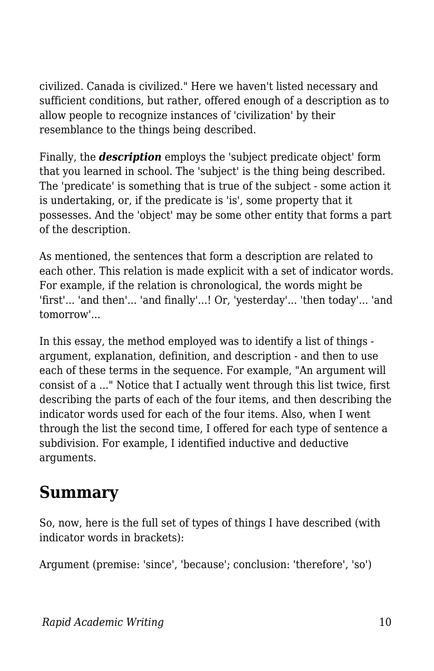civilized. Canada is civilized." Here we haven't listed necessary and sufficient conditions, but rather, offered enough of a description as to allow people to recognize instances of 'civilization' by their resemblance to the things being described.

Finally, the *description* employs the 'subject predicate object' form that you learned in school. The 'subject' is the thing being described. The 'predicate' is something that is true of the subject - some action it is undertaking, or, if the predicate is 'is', some property that it possesses. And the 'object' may be some other entity that forms a part of the description.

As mentioned, the sentences that form a description are related to each other. This relation is made explicit with a set of indicator words. For example, if the relation is chronological, the words might be 'first'... 'and then'... 'and finally'...! Or, 'yesterday'... 'then today'... 'and tomorrow'...

In this essay, the method employed was to identify a list of things argument, explanation, definition, and description - and then to use each of these terms in the sequence. For example, "An argument will consist of a ..." Notice that I actually went through this list twice, first describing the parts of each of the four items, and then describing the indicator words used for each of the four items. Also, when I went through the list the second time, I offered for each type of sentence a subdivision. For example, I identified inductive and deductive arguments.

#### **Summary**

So, now, here is the full set of types of things I have described (with indicator words in brackets):

Argument (premise: 'since', 'because'; conclusion: 'therefore', 'so')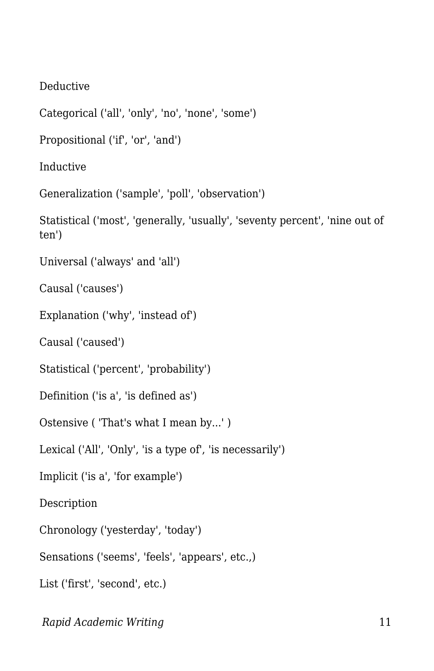Deductive

Categorical ('all', 'only', 'no', 'none', 'some')

Propositional ('if', 'or', 'and')

Inductive

Generalization ('sample', 'poll', 'observation')

Statistical ('most', 'generally, 'usually', 'seventy percent', 'nine out of ten')

Universal ('always' and 'all')

Causal ('causes')

Explanation ('why', 'instead of')

Causal ('caused')

Statistical ('percent', 'probability')

Definition ('is a', 'is defined as')

Ostensive ( 'That's what I mean by...' )

Lexical ('All', 'Only', 'is a type of', 'is necessarily')

Implicit ('is a', 'for example')

Description

Chronology ('yesterday', 'today')

Sensations ('seems', 'feels', 'appears', etc.,)

List ('first', 'second', etc.)

*Rapid Academic Writing* 11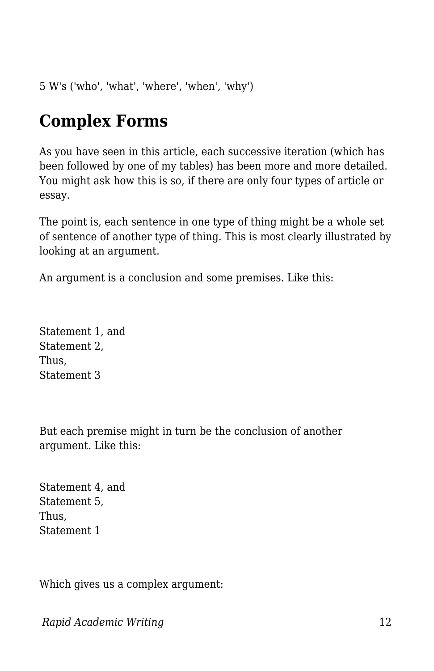5 W's ('who', 'what', 'where', 'when', 'why')

### **Complex Forms**

As you have seen in this article, each successive iteration (which has been followed by one of my tables) has been more and more detailed. You might ask how this is so, if there are only four types of article or essay.

The point is, each sentence in one type of thing might be a whole set of sentence of another type of thing. This is most clearly illustrated by looking at an argument.

An argument is a conclusion and some premises. Like this:

Statement 1, and Statement 2, Thus, Statement 3

But each premise might in turn be the conclusion of another argument. Like this:

Statement 4, and Statement 5, Thus, Statement 1

Which gives us a complex argument: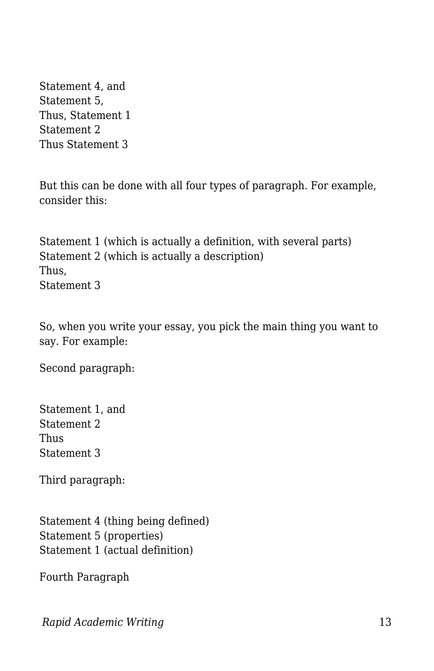Statement 4, and Statement 5, Thus, Statement 1 Statement 2 Thus Statement 3

But this can be done with all four types of paragraph. For example, consider this:

Statement 1 (which is actually a definition, with several parts) Statement 2 (which is actually a description) Thus, Statement 3

So, when you write your essay, you pick the main thing you want to say. For example:

Second paragraph:

Statement 1, and Statement 2 **Thus** Statement 3

Third paragraph:

Statement 4 (thing being defined) Statement 5 (properties) Statement 1 (actual definition)

Fourth Paragraph

*Rapid Academic Writing* 13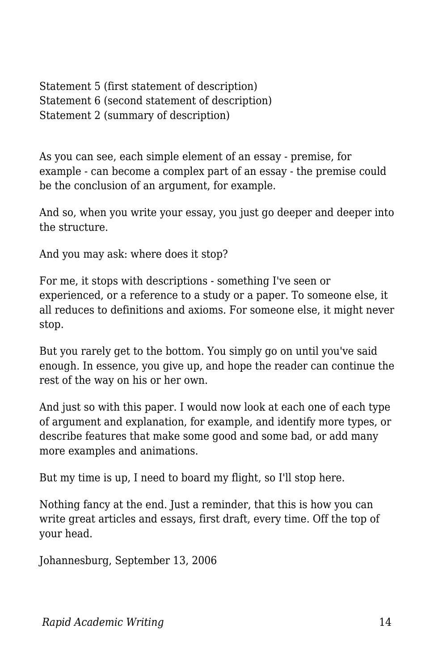Statement 5 (first statement of description) Statement 6 (second statement of description) Statement 2 (summary of description)

As you can see, each simple element of an essay - premise, for example - can become a complex part of an essay - the premise could be the conclusion of an argument, for example.

And so, when you write your essay, you just go deeper and deeper into the structure.

And you may ask: where does it stop?

For me, it stops with descriptions - something I've seen or experienced, or a reference to a study or a paper. To someone else, it all reduces to definitions and axioms. For someone else, it might never stop.

But you rarely get to the bottom. You simply go on until you've said enough. In essence, you give up, and hope the reader can continue the rest of the way on his or her own.

And just so with this paper. I would now look at each one of each type of argument and explanation, for example, and identify more types, or describe features that make some good and some bad, or add many more examples and animations.

But my time is up, I need to board my flight, so I'll stop here.

Nothing fancy at the end. Just a reminder, that this is how you can write great articles and essays, first draft, every time. Off the top of your head.

Johannesburg, September 13, 2006